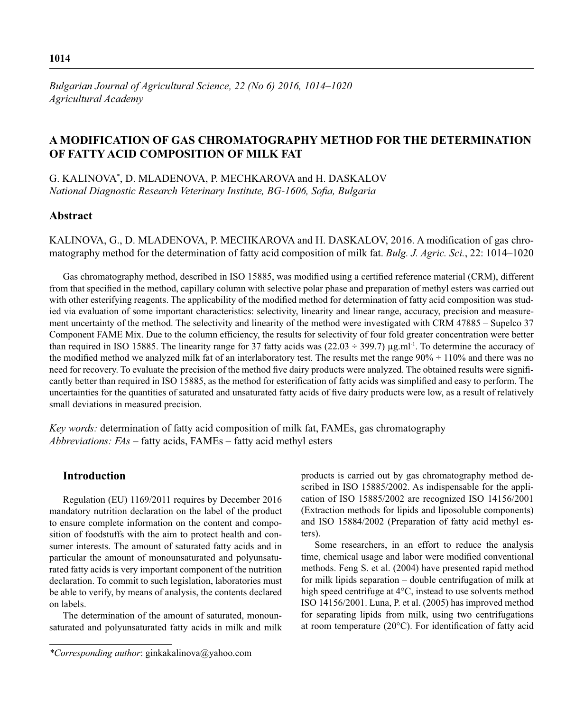# **A MODIFICATION OF GAS CHROMATOGRAPHY METHOD FOR THE DETERMINATION OF FATTY ACID COMPOSITION OF MILK FAT**

G. KALINOVA\* , D. MLADENOVA, P. MECHKAROVA and H. DASKALOV *National Diagnostic Research Veterinary Institute, BG-1606, Sofia, Bulgaria* 

# **Abstract**

KALINOVA, G., D. MLADENOVA, P. MECHKAROVA and H. DASKALOV, 2016. A modification of gas chromatography method for the determination of fatty acid composition of milk fat. *Bulg. J. Agric. Sci.*, 22: 1014–1020

Gas chromatography method, described in ISO 15885, was modified using a certified reference material (CRM), different from that specified in the method, capillary column with selective polar phase and preparation of methyl esters was carried out with other esterifying reagents. The applicability of the modified method for determination of fatty acid composition was studied via evaluation of some important characteristics: selectivity, linearity and linear range, accuracy, precision and measurement uncertainty of the method. The selectivity and linearity of the method were investigated with CRM 47885 – Supelco 37 Component FAME Mix. Due to the column efficiency, the results for selectivity of four fold greater concentration were better than required in ISO 15885. The linearity range for 37 fatty acids was  $(22.03 \div 399.7) \mu g$ .ml<sup>-1</sup>. To determine the accuracy of the modified method we analyzed milk fat of an interlaboratory test. The results met the range  $90\% \div 110\%$  and there was no need for recovery. To evaluate the precision of the method five dairy products were analyzed. The obtained results were significantly better than required in ISO 15885, as the method for esterification of fatty acids was simplified and easy to perform. The uncertainties for the quantities of saturated and unsaturated fatty acids of five dairy products were low, as a result of relatively small deviations in measured precision.

*Key words:* determination of fatty acid composition of milk fat, FAMEs, gas chromatography *Abbreviations: FAs* – fatty acids, FAMEs – fatty acid methyl esters

## **Introduction**

Regulation (EU) 1169/2011 requires by December 2016 mandatory nutrition declaration on the label of the product to ensure complete information on the content and composition of foodstuffs with the aim to protect health and consumer interests. The amount of saturated fatty acids and in particular the amount of monounsaturated and polyunsaturated fatty acids is very important component of the nutrition declaration. To commit to such legislation, laboratories must be able to verify, by means of analysis, the contents declared on labels.

The determination of the amount of saturated, monounsaturated and polyunsaturated fatty acids in milk and milk products is carried out by gas chromatography method described in ISO 15885/2002. As indispensable for the application of ISO 15885/2002 are recognized ISO 14156/2001 (Extraction methods for lipids and liposoluble components) and ISO 15884/2002 (Preparation of fatty acid methyl esters).

Some researchers, in an effort to reduce the analysis time, chemical usage and labor were modified conventional methods. Feng S. et al. (2004) have presented rapid method for milk lipids separation – double centrifugation of milk at high speed centrifuge at 4°C, instead to use solvents method ISO 14156/2001. Luna, P. et al. (2005) has improved method for separating lipids from milk, using two centrifugations at room temperature  $(20^{\circ}C)$ . For identification of fatty acid

*<sup>\*</sup>Corresponding author*: ginkakalinova@yahoo.com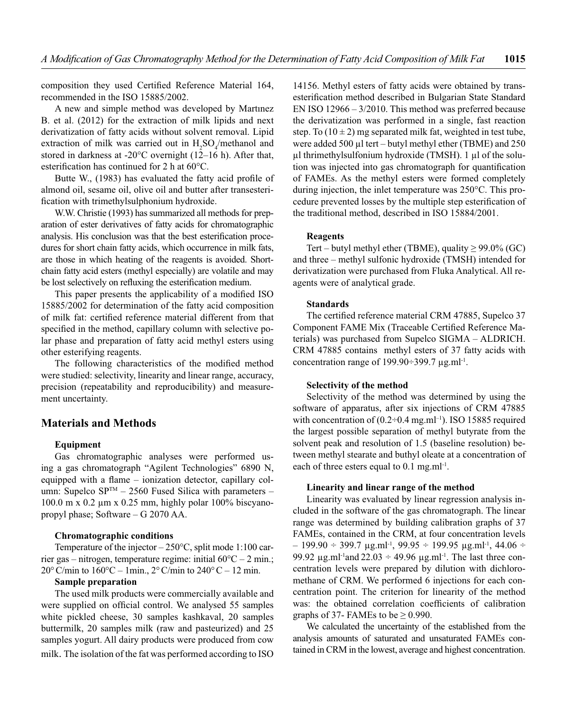composition they used Certified Reference Material 164, recommended in the ISO 15885/2002.

A new and simple method was developed by Martınez B. et al. (2012) for the extraction of milk lipids and next derivatization of fatty acids without solvent removal. Lipid extraction of milk was carried out in  $H_2SO_4$ /methanol and stored in darkness at -20°C overnight (12–16 h). After that, esterification has continued for 2 h at  $60^{\circ}$ C.

Butte W., (1983) has evaluated the fatty acid profile of almond oil, sesame oil, olive oil and butter after transesterification with trimethylsulphonium hydroxide.

W.W. Christie (1993) has summarized all methods for preparation of ester derivatives of fatty acids for chromatographic analysis. His conclusion was that the best esterification procedures for short chain fatty acids, which occurrence in milk fats, are those in which heating of the reagents is avoided. Shortchain fatty acid esters (methyl especially) are volatile and may be lost selectively on refluxing the esterification medium.

This paper presents the applicability of a modified ISO 15885/2002 for determination of the fatty acid composition of milk fat: certified reference material different from that specified in the method, capillary column with selective polar phase and preparation of fatty acid methyl esters using other esterifying reagents.

The following characteristics of the modified method were studied: selectivity, linearity and linear range, accuracy, precision (repeatability and reproducibility) and measurement uncertainty.

## **Materials and Methods**

### **Equipment**

Gas chromatographic analyses were performed using a gas chromatograph "Agilent Technologies" 6890 N, equipped with a flame – ionization detector, capillary column: Supelco SP<sup>TM</sup> – 2560 Fused Silica with parameters – 100.0 m x 0.2 μm x 0.25 mm, highly polar 100% biscyanopropyl phase; Software – G 2070 AA.

### **Chromatographic conditions**

Temperature of the injector  $-250^{\circ}$ C, split mode 1:100 carrier gas – nitrogen, temperature regime: initial 60°C – 2 min.; 20°C/min to  $160^{\circ}$ C – 1min.,  $2^{\circ}$ C/min to  $240^{\circ}$ C – 12 min.

# **Sample preparation**

The used milk products were commercially available and were supplied on official control. We analysed 55 samples white pickled cheese, 30 samples kashkaval, 20 samples buttermilk, 20 samples milk (raw and pasteurized) and 25 samples yogurt. All dairy products were produced from cow milk. The isolation of the fat was performed according to ISO

14156. Methyl esters of fatty acids were obtained by transesterification method described in Bulgarian State Standard EN ISO 12966 – 3/2010. This method was preferred because the derivatization was performed in a single, fast reaction step. To  $(10 \pm 2)$  mg separated milk fat, weighted in test tube, were added 500 μl tert – butyl methyl ether (TBME) and 250 μl thrimethylsulfonium hydroxide (TMSH). 1 μl of the solution was injected into gas chromatograph for quantification of FAMEs. As the methyl esters were formed completely during injection, the inlet temperature was 250°C. This procedure prevented losses by the multiple step esterification of the traditional method, described in ISO 15884/2001.

## **Reagents**

Tert – butyl methyl ether (TBME), quality  $\geq$  99.0% (GC) and three – methyl sulfonic hydroxide (TMSH) intended for derivatization were purchased from Fluka Analytical. All reagents were of analytical grade.

### **Standards**

The certified reference material CRM 47885, Supelco 37 Component FAME Mix (Traceable Certified Reference Materials) was purchased from Supelco SIGMA – ALDRICH. CRM 47885 contains methyl esters of 37 fatty acids with concentration range of  $199.90 \div 399.7 \text{ µg.ml}^{-1}$ .

### **Selectivity of the method**

Selectivity of the method was determined by using the software of apparatus, after six injections of CRM 47885 with concentration of  $(0.2 \div 0.4 \text{ mg.m}^{-1})$ . ISO 15885 required the largest possible separation of methyl butyrate from the solvent peak and resolution of 1.5 (baseline resolution) between methyl stearate and buthyl oleate at a concentration of each of three esters equal to 0.1 mg.ml<sup>-1</sup>.

### **Linearity and linear range of the method**

Linearity was evaluated by linear regression analysis included in the software of the gas chromatograph. The linear range was determined by building calibration graphs of 37 FAMEs, contained in the CRM, at four concentration levels  $-$  199.90 ÷ 399.7  $\mu$ g.ml<sup>-1</sup>, 99.95 ÷ 199.95  $\mu$ g.ml<sup>-1</sup>, 44.06 ÷ 99.92  $\mu$ g.ml<sup>-1</sup>and 22.03 ÷ 49.96  $\mu$ g.ml<sup>-1</sup>. The last three concentration levels were prepared by dilution with dichloromethane of CRM. We performed 6 injections for each concentration point. The criterion for linearity of the method was: the obtained correlation coefficients of calibration graphs of 37- FAMEs to be  $\geq$  0.990.

We calculated the uncertainty of the established from the analysis amounts of saturated and unsaturated FAMEs contained in CRM in the lowest, average and highest concentration.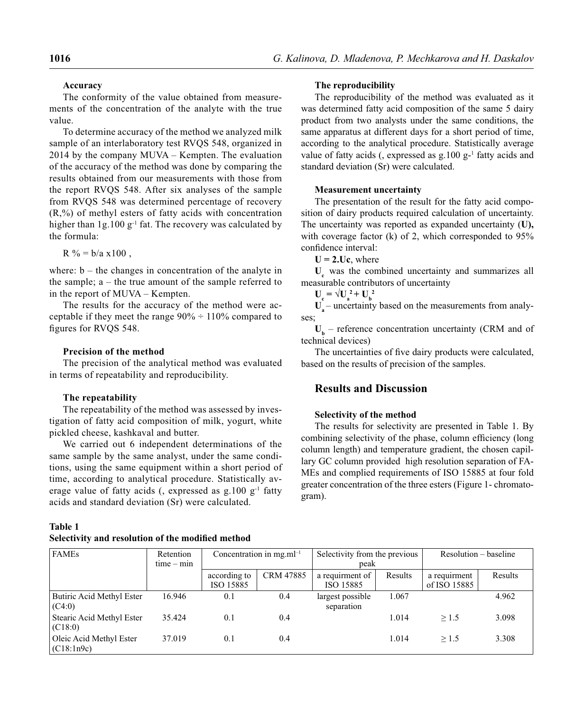## **Accuracy**

The conformity of the value obtained from measurements of the concentration of the analyte with the true value.

To determine accuracy of the method we analyzed milk sample of an interlaboratory test RVQS 548, organized in 2014 by the company MUVA – Kempten. The evaluation of the accuracy of the method was done by comparing the results obtained from our measurements with those from the report RVQS 548. After six analyses of the sample from RVQS 548 was determined percentage of recovery  $(R, %)$  of methyl esters of fatty acids with concentration higher than  $1g.100 g^{-1}$  fat. The recovery was calculated by the formula:

 $R$ % =  $b/a \times 100$ ,

where:  $b -$  the changes in concentration of the analyte in the sample;  $a -$  the true amount of the sample referred to in the report of MUVA – Kempten.

The results for the accuracy of the method were acceptable if they meet the range  $90\% \div 110\%$  compared to figures for RVQS 548.

### **Precision of the method**

The precision of the analytical method was evaluated in terms of repeatability and reproducibility.

### **The repeatability**

The repeatability of the method was assessed by investigation of fatty acid composition of milk, yogurt, white pickled cheese, kashkaval and butter.

We carried out 6 independent determinations of the same sample by the same analyst, under the same conditions, using the same equipment within a short period of time, according to analytical procedure. Statistically average value of fatty acids (, expressed as  $g.100\ g^{-1}$  fatty acids and standard deviation (Sr) were calculated.

## **Table 1**

**Selectivity and resolution of the modified method** 

### **The reproducibility**

The reproducibility of the method was evaluated as it was determined fatty acid composition of the same 5 dairy product from two analysts under the same conditions, the same apparatus at different days for a short period of time, according to the analytical procedure. Statistically average value of fatty acids (, expressed as  $g.100 g^{-1}$  fatty acids and standard deviation (Sr) were calculated.

### **Measurement uncertainty**

The presentation of the result for the fatty acid composition of dairy products required calculation of uncertainty. The uncertainty was reported as expanded uncertainty (**U),**  with coverage factor (k) of 2, which corresponded to  $95\%$ confidence interval:

 $U = 2.Uc$ , where

U<sub>c</sub> was the combined uncertainty and summarizes all measurable contributors of uncertainty

 $U_c = \sqrt{U_a^2 + U_b^2}$ 

 $U<sub>a</sub>$  – uncertainty based on the measurements from analyses;

 $U_b$  – reference concentration uncertainty (CRM and of technical devices)

The uncertainties of five dairy products were calculated, based on the results of precision of the samples.

# **Results and Discussion**

## **Selectivity of the method**

The results for selectivity are presented in Table 1. By combining selectivity of the phase, column efficiency (long column length) and temperature gradient, the chosen capillary GC column provided high resolution separation of FA-MEs and complied requirements of ISO 15885 at four fold greater concentration of the three esters (Figure 1- chromatogram).

| <b>FAMEs</b>                          | Retention<br>$time - min$ | Concentration in mg.m $l^{-1}$ |                  | Selectivity from the previous<br>peak |         | Resolution – baseline        |         |
|---------------------------------------|---------------------------|--------------------------------|------------------|---------------------------------------|---------|------------------------------|---------|
|                                       |                           | according to<br>ISO 15885      | <b>CRM 47885</b> | a requirment of<br>ISO 15885          | Results | a requirment<br>of ISO 15885 | Results |
| Butiric Acid Methyl Ester<br>(C4:0)   | 16.946                    | 0.1                            | 0.4              | largest possible<br>separation        | 1.067   |                              | 4.962   |
| Stearic Acid Methyl Ester<br>(C18:0)  | 35.424                    | 0.1                            | 0.4              |                                       | 1.014   | >1.5                         | 3.098   |
| Oleic Acid Methyl Ester<br>(C18:1n9c) | 37.019                    | 0.1                            | 0.4              |                                       | 1.014   | >1.5                         | 3.308   |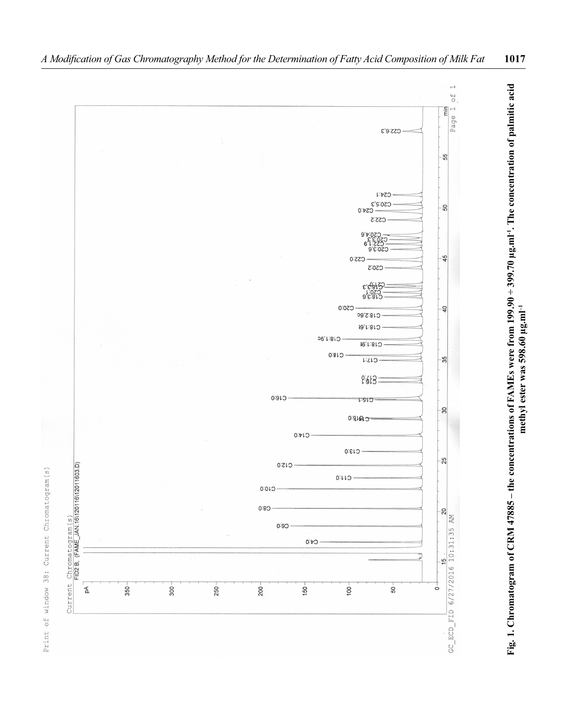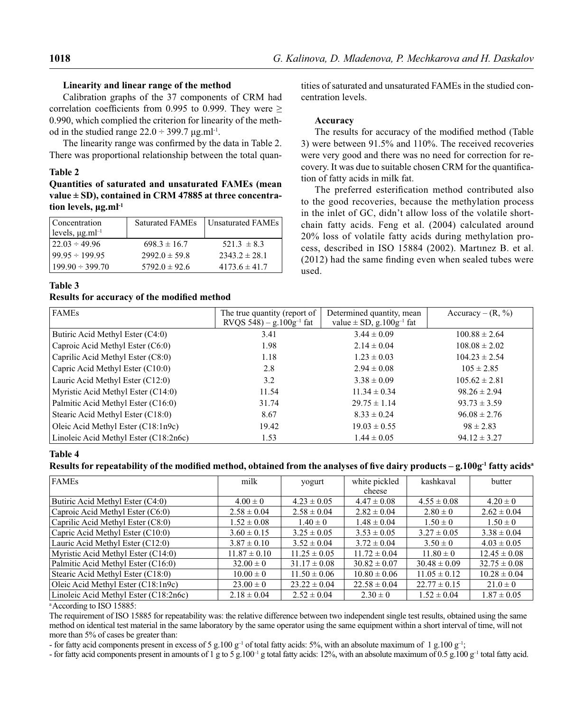### **Linearity and linear range of the method**

Calibration graphs of the 37 components of CRM had correlation coefficients from 0.995 to 0.999. They were  $\geq$ 0.990, which complied the criterion for linearity of the method in the studied range  $22.0 \div 399.7$  μg.ml<sup>-1</sup>.

The linearity range was confirmed by the data in Table 2. There was proportional relationship between the total quan-

### **Table 2**

**Quantities of saturated and unsaturated FAMEs (mean value ± SD), contained in CRM 47885 at three concentration levels, μg.ml-1**

| Concentration<br>levels, $\mu$ g.ml <sup>-1</sup> | <b>Saturated FAMEs</b> | Unsaturated FAMEs |
|---------------------------------------------------|------------------------|-------------------|
| $122.03 \div 49.96$                               | $698.3 \pm 16.7$       | $521.3 \pm 8.3$   |
| $99.95 \div 199.95$                               | $2992.0 \pm 59.8$      | $2343.2 \pm 28.1$ |
| $199.90 \div 399.70$                              | $5792.0 \pm 92.6$      | $4173.6 \pm 41.7$ |

tities of saturated and unsaturated FAMEs in the studied concentration levels.

### **Accuracy**

The results for accuracy of the modified method (Table 3) were between 91.5% and 110%. The received recoveries were very good and there was no need for correction for recovery. It was due to suitable chosen CRM for the quantification of fatty acids in milk fat.

The preferred esterification method contributed also to the good recoveries, because the methylation process in the inlet of GC, didn't allow loss of the volatile shortchain fatty acids. Feng et al. (2004) calculated around 20% loss of volatile fatty acids during methylation process, described in ISO 15884 (2002). Martınez B. et al.  $(2012)$  had the same finding even when sealed tubes were used.

## **Table 3**

## **Results for accuracy of the modified method**

| <b>FAMEs</b>                          | The true quantity (report of<br>RVOS 548) – g.100g <sup>-1</sup> fat | Determined quantity, mean<br>value $\pm$ SD, g.100g <sup>-1</sup> fat | Accuracy – $(R, %)$ |  |
|---------------------------------------|----------------------------------------------------------------------|-----------------------------------------------------------------------|---------------------|--|
| Butiric Acid Methyl Ester (C4:0)      | 3.41                                                                 | $3.44 \pm 0.09$                                                       | $100.88 \pm 2.64$   |  |
| Caproic Acid Methyl Ester (C6:0)      | 1.98                                                                 | $2.14 \pm 0.04$                                                       | $108.08 \pm 2.02$   |  |
| Caprilic Acid Methyl Ester (C8:0)     | 1.18                                                                 | $1.23 \pm 0.03$                                                       | $104.23 \pm 2.54$   |  |
| Capric Acid Methyl Ester (C10:0)      | 2.8                                                                  | $2.94 \pm 0.08$                                                       | $105 \pm 2.85$      |  |
| Lauric Acid Methyl Ester (C12:0)      | 3.2                                                                  | $3.38 \pm 0.09$                                                       | $105.62 \pm 2.81$   |  |
| Myristic Acid Methyl Ester (C14:0)    | 11.54                                                                | $11.34 \pm 0.34$                                                      | $98.26 \pm 2.94$    |  |
| Palmitic Acid Methyl Ester (C16:0)    | 31.74                                                                | $29.75 \pm 1.14$                                                      | $93.73 \pm 3.59$    |  |
| Stearic Acid Methyl Ester (C18:0)     | 8.67                                                                 | $8.33 \pm 0.24$                                                       | $96.08 \pm 2.76$    |  |
| Oleic Acid Methyl Ester (C18:1n9c)    | 19.42                                                                | $19.03 \pm 0.55$                                                      | $98 \pm 2.83$       |  |
| Linoleic Acid Methyl Ester (C18:2n6c) | 1.53                                                                 | $1.44 \pm 0.05$                                                       | $94.12 \pm 3.27$    |  |

## **Table 4**

## Results for repeatability of the modified method, obtained from the analyses of five dairy products – g.100g<sup>-1</sup> fatty acids<sup>a</sup>

| <b>FAMEs</b>                          | milk             | yogurt           | white pickled    | kashkaval        | butter           |
|---------------------------------------|------------------|------------------|------------------|------------------|------------------|
|                                       |                  |                  | cheese           |                  |                  |
| Butiric Acid Methyl Ester (C4:0)      | $4.00 \pm 0$     | $4.23 \pm 0.05$  | $4.47 \pm 0.08$  | $4.55 \pm 0.08$  | $4.20 \pm 0$     |
| Caproic Acid Methyl Ester (C6:0)      | $2.58 \pm 0.04$  | $2.58 \pm 0.04$  | $2.82 \pm 0.04$  | $2.80 \pm 0$     | $2.62 \pm 0.04$  |
| Caprilic Acid Methyl Ester (C8:0)     | $1.52 \pm 0.08$  | $1.40 \pm 0$     | $1.48 \pm 0.04$  | $1.50 \pm 0$     | $1.50 \pm 0$     |
| Capric Acid Methyl Ester (C10:0)      | $3.60 \pm 0.15$  | $3.25 \pm 0.05$  | $3.53 \pm 0.05$  | $3.27 \pm 0.05$  | $3.38 \pm 0.04$  |
| Lauric Acid Methyl Ester (C12:0)      | $3.87 \pm 0.10$  | $3.52 \pm 0.04$  | $3.72 \pm 0.04$  | $3.50 \pm 0$     | $4.03 \pm 0.05$  |
| Myristic Acid Methyl Ester (C14:0)    | $11.87 \pm 0.10$ | $11.25 \pm 0.05$ | $11.72 \pm 0.04$ | $11.80 \pm 0$    | $12.45 \pm 0.08$ |
| Palmitic Acid Methyl Ester (C16:0)    | $32.00 \pm 0$    | $31.17 \pm 0.08$ | $30.82 \pm 0.07$ | $30.48 \pm 0.09$ | $32.75 \pm 0.08$ |
| Stearic Acid Methyl Ester (C18:0)     | $10.00 \pm 0$    | $11.50 \pm 0.06$ | $10.80 \pm 0.06$ | $11.05 \pm 0.12$ | $10.28 \pm 0.04$ |
| Oleic Acid Methyl Ester (C18:1n9c)    | $23.00 \pm 0$    | $23.22 \pm 0.04$ | $22.58 \pm 0.04$ | $22.77 \pm 0.15$ | $21.0 \pm 0$     |
| Linoleic Acid Methyl Ester (C18:2n6c) | $2.18 \pm 0.04$  | $2.52 \pm 0.04$  | $2.30 \pm 0$     | $1.52 \pm 0.04$  | $1.87 \pm 0.05$  |

a According to ISO 15885:

The requirement of ISO 15885 for repeatability was: the relative difference between two independent single test results, obtained using the same method on identical test material in the same laboratory by the same operator using the same equipment within a short interval of time, will not more than 5% of cases be greater than:

- for fatty acid components present in excess of 5 g.100  $g^{-1}$  of total fatty acids: 5%, with an absolute maximum of 1 g.100  $g^{-1}$ ;

- for fatty acid components present in amounts of 1 g to 5 g.100<sup>-1</sup> g total fatty acids: 12%, with an absolute maximum of 0.5 g.100 g<sup>-1</sup> total fatty acid.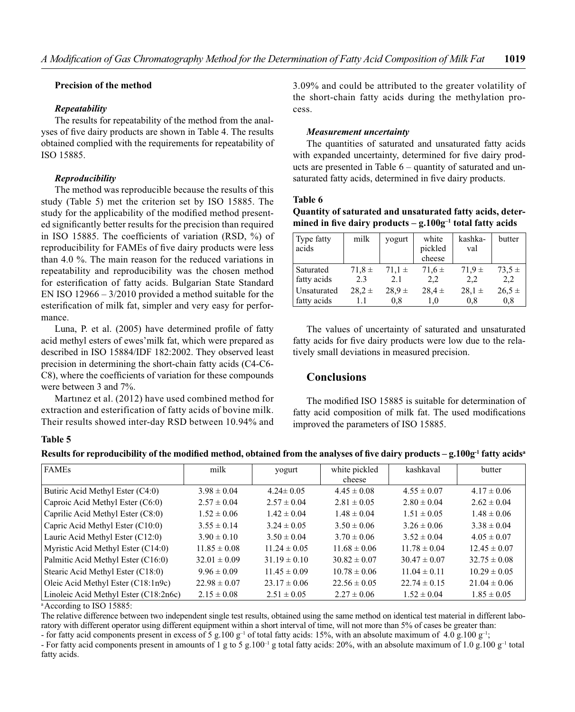### **Precision of the method**

### *Repeatability*

The results for repeatability of the method from the analyses of five dairy products are shown in Table 4. The results obtained complied with the requirements for repeatability of ISO 15885.

## *Reproducibility*

The method was reproducible because the results of this study (Table 5) met the criterion set by ISO 15885. The study for the applicability of the modified method presented significantly better results for the precision than required in ISO 15885. The coefficients of variation (RSD,  $\%$ ) of reproducibility for FAMEs of five dairy products were less than 4.0 %. The main reason for the reduced variations in repeatability and reproducibility was the chosen method for esterification of fatty acids. Bulgarian State Standard EN ISO 12966 – 3/2010 provided a method suitable for the esterification of milk fat, simpler and very easy for performance.

Luna, P. et al. (2005) have determined profile of fatty acid methyl esters of ewes'milk fat, which were prepared as described in ISO 15884/IDF 182:2002. They observed least precision in determining the short-chain fatty acids (C4-C6- C8), where the coefficients of variation for these compounds were between 3 and 7%.

Martınez et al. (2012) have used combined method for extraction and esterification of fatty acids of bovine milk. Their results showed inter-day RSD between 10.94% and 3.09% and could be attributed to the greater volatility of the short-chain fatty acids during the methylation process.

## *Measurement uncertainty*

The quantities of saturated and unsaturated fatty acids with expanded uncertainty, determined for five dairy products are presented in Table 6 – quantity of saturated and unsaturated fatty acids, determined in five dairy products.

## **Table 6**

**Quantity of saturated and unsaturated fatty acids, deter**mined in five dairy products  $-$  g.100g<sup>-1</sup> total fatty acids

| Type fatty<br>acids | milk       | yogurt     | white<br>pickled<br>cheese | kashka-<br>val | butter     |
|---------------------|------------|------------|----------------------------|----------------|------------|
| Saturated           | $71.8 \pm$ | $71.1 \pm$ | $71.6 \pm$                 | $71.9 \pm$     | $73.5 \pm$ |
| fatty acids         | 2.3        | 2.1        | 2,2                        | 2,2            | 2,2        |
| Unsaturated         | $28.2 \pm$ | $28.9 \pm$ | $28.4 \pm$                 | $28.1 \pm$     | $26,5 \pm$ |
| fatty acids         | 1.1        | 0.8        | 1,0                        | 0,8            | 0,8        |

The values of uncertainty of saturated and unsaturated fatty acids for five dairy products were low due to the relatively small deviations in measured precision.

# **Conclusions**

The modified ISO 15885 is suitable for determination of fatty acid composition of milk fat. The used modifications improved the parameters of ISO 15885.

## **Table 5**

|  | Results for reproducibility of the modified method, obtained from the analyses of five dairy products – g.100g <sup>-1</sup> fatty acids <sup>a</sup> |  |  |  |
|--|-------------------------------------------------------------------------------------------------------------------------------------------------------|--|--|--|
|--|-------------------------------------------------------------------------------------------------------------------------------------------------------|--|--|--|

| <b>FAMES</b>                          | milk             | yogurt           | white pickled    | kashkaval        | butter           |
|---------------------------------------|------------------|------------------|------------------|------------------|------------------|
|                                       |                  |                  | cheese           |                  |                  |
| Butiric Acid Methyl Ester (C4:0)      | $3.98 \pm 0.04$  | $4.24 \pm 0.05$  | $4.45 \pm 0.08$  | $4.55 \pm 0.07$  | $4.17 \pm 0.06$  |
| Caproic Acid Methyl Ester (C6:0)      | $2.57 \pm 0.04$  | $2.57 \pm 0.04$  | $2.81 \pm 0.05$  | $2.80 \pm 0.04$  | $2.62 \pm 0.04$  |
| Caprilic Acid Methyl Ester (C8:0)     | $1.52 \pm 0.06$  | $1.42 \pm 0.04$  | $1.48 \pm 0.04$  | $1.51 \pm 0.05$  | $1.48 \pm 0.06$  |
| Capric Acid Methyl Ester (C10:0)      | $3.55 \pm 0.14$  | $3.24 \pm 0.05$  | $3.50 \pm 0.06$  | $3.26 \pm 0.06$  | $3.38 \pm 0.04$  |
| Lauric Acid Methyl Ester (C12:0)      | $3.90 \pm 0.10$  | $3.50 \pm 0.04$  | $3.70 \pm 0.06$  | $3.52 \pm 0.04$  | $4.05 \pm 0.07$  |
| Myristic Acid Methyl Ester (C14:0)    | $11.85 \pm 0.08$ | $11.24 \pm 0.05$ | $11.68 \pm 0.06$ | $11.78 \pm 0.04$ | $12.45 \pm 0.07$ |
| Palmitic Acid Methyl Ester (C16:0)    | $32.01 \pm 0.09$ | $31.19 \pm 0.10$ | $30.82 \pm 0.07$ | $30.47 \pm 0.07$ | $32.75 \pm 0.08$ |
| Stearic Acid Methyl Ester (C18:0)     | $9.96 \pm 0.09$  | $11.45 \pm 0.09$ | $10.78 \pm 0.06$ | $11.04 \pm 0.11$ | $10.29 \pm 0.05$ |
| Oleic Acid Methyl Ester (C18:1n9c)    | $22.98 \pm 0.07$ | $23.17 \pm 0.06$ | $22.56 \pm 0.05$ | $22.74 \pm 0.15$ | $21.04 \pm 0.06$ |
| Linoleic Acid Methyl Ester (C18:2n6c) | $2.15 \pm 0.08$  | $2.51 \pm 0.05$  | $2.27 \pm 0.06$  | $1.52 \pm 0.04$  | $1.85 \pm 0.05$  |

a According to ISO 15885:

The relative difference between two independent single test results, obtained using the same method on identical test material in different laboratory with different operator using different equipment within a short interval of time, will not more than 5% of cases be greater than:

- for fatty acid components present in excess of 5 g.100 g<sup>-1</sup> of total fatty acids: 15%, with an absolute maximum of 4.0 g.100 g<sup>-1</sup>;

- For fatty acid components present in amounts of 1 g to 5 g.100<sup>-1</sup> g total fatty acids: 20%, with an absolute maximum of 1.0 g.100 g<sup>-1</sup> total fatty acids.